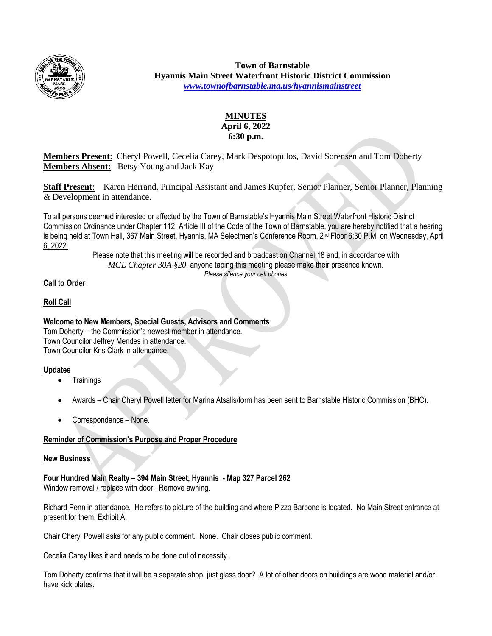

**Town of Barnstable Hyannis Main Street Waterfront Historic District Commission** *[www.townofbarnstable.ma.us/hyannismainstreet](http://www.townofbarnstable.ma.us/hyannismainstreet)*

## **MINUTES April 6, 2022 6:30 p.m.**

**Members Present**: Cheryl Powell, Cecelia Carey, Mark Despotopulos, David Sorensen and Tom Doherty **Members Absent:** Betsy Young and Jack Kay

**Staff Present**: Karen Herrand, Principal Assistant and James Kupfer, Senior Planner, Senior Planner, Planning & Development in attendance.

To all persons deemed interested or affected by the Town of Barnstable's Hyannis Main Street Waterfront Historic District Commission Ordinance under Chapter 112, Article III of the Code of the Town of Barnstable, you are hereby notified that a hearing is being held at Town Hall, 367 Main Street, Hyannis, MA Selectmen's Conference Room, 2nd Floor 6:30 P.M. on Wednesday, April 6, 2022.

Please note that this meeting will be recorded and broadcast on Channel 18 and, in accordance with *MGL Chapter 30A §20*, anyone taping this meeting please make their presence known. *Please silence your cell phones*

# **Call to Order**

# **Roll Call**

### **Welcome to New Members, Special Guests, Advisors and Comments**

Tom Doherty – the Commission's newest member in attendance. Town Councilor Jeffrey Mendes in attendance. Town Councilor Kris Clark in attendance.

#### **Updates**

- **Trainings**
- Awards Chair Cheryl Powell letter for Marina Atsalis/form has been sent to Barnstable Historic Commission (BHC).
- Correspondence None.

# **Reminder of Commission's Purpose and Proper Procedure**

#### **New Business**

**Four Hundred Main Realty – 394 Main Street, Hyannis - Map 327 Parcel 262** Window removal / replace with door. Remove awning.

Richard Penn in attendance. He refers to picture of the building and where Pizza Barbone is located. No Main Street entrance at present for them, Exhibit A.

Chair Cheryl Powell asks for any public comment. None. Chair closes public comment.

Cecelia Carey likes it and needs to be done out of necessity.

Tom Doherty confirms that it will be a separate shop, just glass door? A lot of other doors on buildings are wood material and/or have kick plates.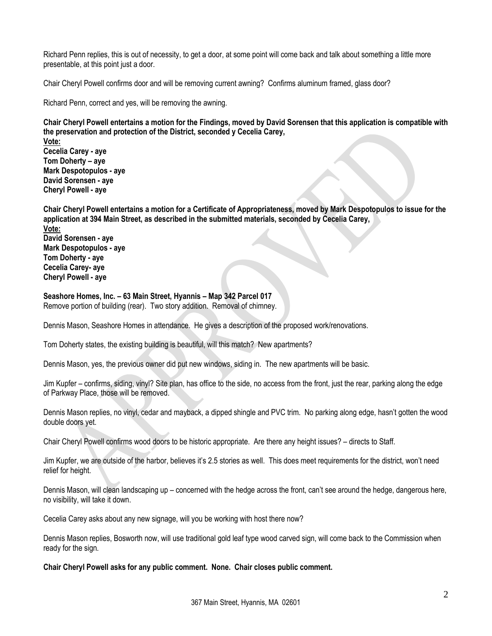Richard Penn replies, this is out of necessity, to get a door, at some point will come back and talk about something a little more presentable, at this point just a door.

Chair Cheryl Powell confirms door and will be removing current awning? Confirms aluminum framed, glass door?

Richard Penn, correct and yes, will be removing the awning.

**Chair Cheryl Powell entertains a motion for the Findings, moved by David Sorensen that this application is compatible with the preservation and protection of the District, seconded y Cecelia Carey,**

**Vote: Cecelia Carey - aye Tom Doherty – aye Mark Despotopulos - aye David Sorensen - aye Cheryl Powell - aye**

**Chair Cheryl Powell entertains a motion for a Certificate of Appropriateness, moved by Mark Despotopulos to issue for the application at 394 Main Street, as described in the submitted materials, seconded by Cecelia Carey,**

**Vote: David Sorensen - aye Mark Despotopulos - aye Tom Doherty - aye Cecelia Carey- aye Cheryl Powell - aye**

# **Seashore Homes, Inc. – 63 Main Street, Hyannis – Map 342 Parcel 017**

Remove portion of building (rear). Two story addition. Removal of chimney.

Dennis Mason, Seashore Homes in attendance. He gives a description of the proposed work/renovations.

Tom Doherty states, the existing building is beautiful, will this match? New apartments?

Dennis Mason, yes, the previous owner did put new windows, siding in. The new apartments will be basic.

Jim Kupfer – confirms, siding, vinyl? Site plan, has office to the side, no access from the front, just the rear, parking along the edge of Parkway Place, those will be removed.

Dennis Mason replies, no vinyl, cedar and mayback, a dipped shingle and PVC trim. No parking along edge, hasn't gotten the wood double doors yet.

Chair Cheryl Powell confirms wood doors to be historic appropriate. Are there any height issues? – directs to Staff.

Jim Kupfer, we are outside of the harbor, believes it's 2.5 stories as well. This does meet requirements for the district, won't need relief for height.

Dennis Mason, will clean landscaping up – concerned with the hedge across the front, can't see around the hedge, dangerous here, no visibility, will take it down.

Cecelia Carey asks about any new signage, will you be working with host there now?

Dennis Mason replies, Bosworth now, will use traditional gold leaf type wood carved sign, will come back to the Commission when ready for the sign.

**Chair Cheryl Powell asks for any public comment. None. Chair closes public comment.**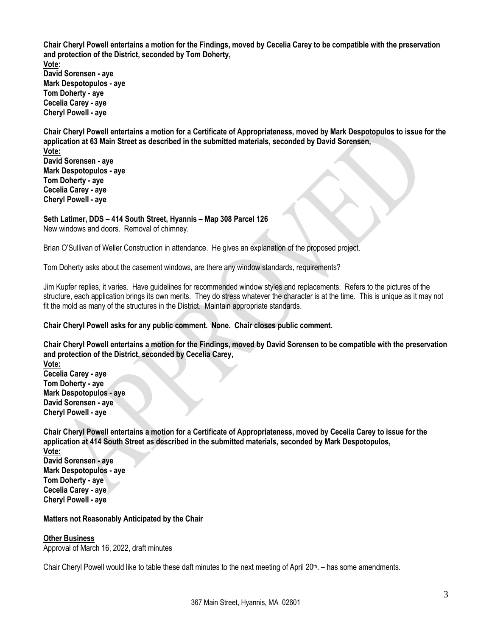**Chair Cheryl Powell entertains a motion for the Findings, moved by Cecelia Carey to be compatible with the preservation and protection of the District, seconded by Tom Doherty, Vote: David Sorensen - aye Mark Despotopulos - aye Tom Doherty - aye Cecelia Carey - aye Cheryl Powell - aye**

**Chair Cheryl Powell entertains a motion for a Certificate of Appropriateness, moved by Mark Despotopulos to issue for the application at 63 Main Street as described in the submitted materials, seconded by David Sorensen, Vote:**

**David Sorensen - aye Mark Despotopulos - aye Tom Doherty - aye Cecelia Carey - aye Cheryl Powell - aye**

# **Seth Latimer, DDS – 414 South Street, Hyannis – Map 308 Parcel 126**

New windows and doors. Removal of chimney.

Brian O'Sullivan of Weller Construction in attendance. He gives an explanation of the proposed project.

Tom Doherty asks about the casement windows, are there any window standards, requirements?

Jim Kupfer replies, it varies. Have guidelines for recommended window styles and replacements. Refers to the pictures of the structure, each application brings its own merits. They do stress whatever the character is at the time. This is unique as it may not fit the mold as many of the structures in the District. Maintain appropriate standards.

**Chair Cheryl Powell asks for any public comment. None. Chair closes public comment.**

**Chair Cheryl Powell entertains a motion for the Findings, moved by David Sorensen to be compatible with the preservation and protection of the District, seconded by Cecelia Carey,**

**Vote: Cecelia Carey - aye Tom Doherty - aye Mark Despotopulos - aye David Sorensen - aye Cheryl Powell - aye**

**Chair Cheryl Powell entertains a motion for a Certificate of Appropriateness, moved by Cecelia Carey to issue for the application at 414 South Street as described in the submitted materials, seconded by Mark Despotopulos,**

**Vote: David Sorensen - aye Mark Despotopulos - aye Tom Doherty - aye Cecelia Carey - aye Cheryl Powell - aye**

# **Matters not Reasonably Anticipated by the Chair**

# **Other Business**

Approval of March 16, 2022, draft minutes

Chair Cheryl Powell would like to table these daft minutes to the next meeting of April 20th . – has some amendments.